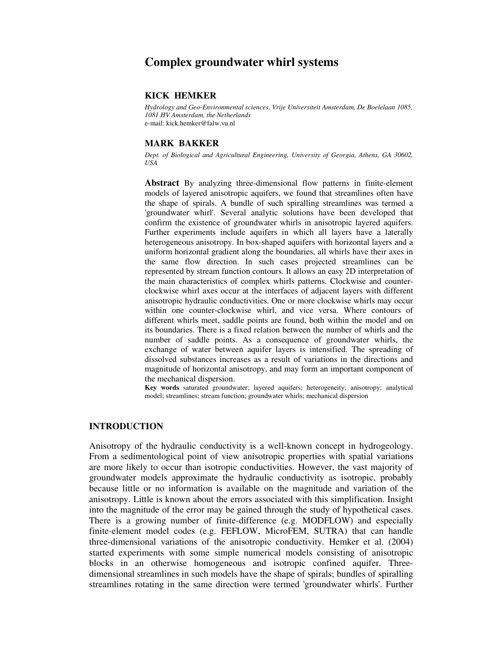# **Complex groundwater whirl systems**

#### **KICK HEMKER**

*Hydrology and Geo-Environmental sciences, Vrije Universiteit Amsterdam, De Boelelaan 1085, 1081 HV Amsterdam, the Netherlands* e-mail: kick.hemker@falw.vu.nl

#### **MARK BAKKER**

*Dept. of Biological and Agricultural Engineering, University of Georgia, Athens, GA 30602, USA*

**Abstract** By analyzing three-dimensional flow patterns in finite-element models of layered anisotropic aquifers, we found that streamlines often have the shape of spirals. A bundle of such spiralling streamlines was termed a 'groundwater whirl'. Several analytic solutions have been developed that confirm the existence of groundwater whirls in anisotropic layered aquifers. Further experiments include aquifers in which all layers have a laterally heterogeneous anisotropy. In box-shaped aquifers with horizontal layers and a uniform horizontal gradient along the boundaries, all whirls have their axes in the same flow direction. In such cases projected streamlines can be represented by stream function contours. It allows an easy 2D interpretation of the main characteristics of complex whirls patterns. Clockwise and counterclockwise whirl axes occur at the interfaces of adjacent layers with different anisotropic hydraulic conductivities. One or more clockwise whirls may occur within one counter-clockwise whirl, and vice versa. Where contours of different whirls meet, saddle points are found, both within the model and on its boundaries. There is a fixed relation between the number of whirls and the number of saddle points. As a consequence of groundwater whirls, the exchange of water between aquifer layers is intensified. The spreading of dissolved substances increases as a result of variations in the directions and magnitude of horizontal anisotropy, and may form an important component of the mechanical dispersion.

**Key words** saturated groundwater; layered aquifers; heterogeneity; anisotropy; analytical model; streamlines; stream function; groundwater whirls; mechanical dispersion

### **INTRODUCTION**

Anisotropy of the hydraulic conductivity is a well-known concept in hydrogeology. From a sedimentological point of view anisotropic properties with spatial variations are more likely to occur than isotropic conductivities. However, the vast majority of groundwater models approximate the hydraulic conductivity as isotropic, probably because little or no information is available on the magnitude and variation of the anisotropy. Little is known about the errors associated with this simplification. Insight into the magnitude of the error may be gained through the study of hypothetical cases. There is a growing number of finite-difference (e.g. MODFLOW) and especially finite-element model codes (e.g. FEFLOW, MicroFEM, SUTRA) that can handle three-dimensional variations of the anisotropic conductivity. Hemker et al. (2004) started experiments with some simple numerical models consisting of anisotropic blocks in an otherwise homogeneous and isotropic confined aquifer. Threedimensional streamlines in such models have the shape of spirals; bundles of spiralling streamlines rotating in the same direction were termed 'groundwater whirls'. Further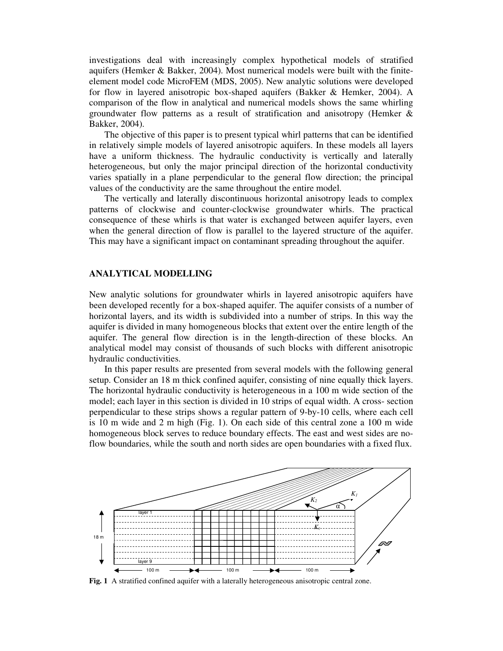investigations deal with increasingly complex hypothetical models of stratified aquifers (Hemker & Bakker, 2004). Most numerical models were built with the finiteelement model code MicroFEM (MDS, 2005). New analytic solutions were developed for flow in layered anisotropic box-shaped aquifers (Bakker & Hemker, 2004). A comparison of the flow in analytical and numerical models shows the same whirling groundwater flow patterns as a result of stratification and anisotropy (Hemker & Bakker, 2004).

The objective of this paper is to present typical whirl patterns that can be identified in relatively simple models of layered anisotropic aquifers. In these models all layers have a uniform thickness. The hydraulic conductivity is vertically and laterally heterogeneous, but only the major principal direction of the horizontal conductivity varies spatially in a plane perpendicular to the general flow direction; the principal values of the conductivity are the same throughout the entire model.

The vertically and laterally discontinuous horizontal anisotropy leads to complex patterns of clockwise and counter-clockwise groundwater whirls. The practical consequence of these whirls is that water is exchanged between aquifer layers, even when the general direction of flow is parallel to the layered structure of the aquifer. This may have a significant impact on contaminant spreading throughout the aquifer.

#### **ANALYTICAL MODELLING**

New analytic solutions for groundwater whirls in layered anisotropic aquifers have been developed recently for a box-shaped aquifer. The aquifer consists of a number of horizontal layers, and its width is subdivided into a number of strips. In this way the aquifer is divided in many homogeneous blocks that extent over the entire length of the aquifer. The general flow direction is in the length-direction of these blocks. An analytical model may consist of thousands of such blocks with different anisotropic hydraulic conductivities.

In this paper results are presented from several models with the following general setup. Consider an 18 m thick confined aquifer, consisting of nine equally thick layers. The horizontal hydraulic conductivity is heterogeneous in a 100 m wide section of the model; each layer in this section is divided in 10 strips of equal width. A cross- section perpendicular to these strips shows a regular pattern of 9-by-10 cells, where each cell is 10 m wide and 2 m high (Fig. 1). On each side of this central zone a 100 m wide homogeneous block serves to reduce boundary effects. The east and west sides are noflow boundaries, while the south and north sides are open boundaries with a fixed flux.



**Fig. 1** A stratified confined aquifer with a laterally heterogeneous anisotropic central zone.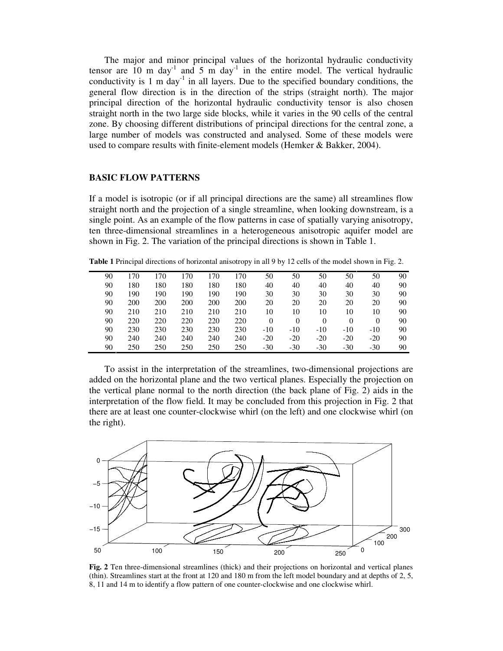The major and minor principal values of the horizontal hydraulic conductivity tensor are  $10 \text{ m day}$ <sup>1</sup> and  $5 \text{ m day}$ <sup>1</sup> in the entire model. The vertical hydraulic conductivity is 1 m day<sup>-1</sup> in all layers. Due to the specified boundary conditions, the general flow direction is in the direction of the strips (straight north). The major principal direction of the horizontal hydraulic conductivity tensor is also chosen straight north in the two large side blocks, while it varies in the 90 cells of the central zone. By choosing different distributions of principal directions for the central zone, a large number of models was constructed and analysed. Some of these models were used to compare results with finite-element models (Hemker & Bakker, 2004).

## **BASIC FLOW PATTERNS**

If a model is isotropic (or if all principal directions are the same) all streamlines flow straight north and the projection of a single streamline, when looking downstream, is a single point. As an example of the flow patterns in case of spatially varying anisotropy, ten three-dimensional streamlines in a heterogeneous anisotropic aquifer model are shown in Fig. 2. The variation of the principal directions is shown in Table 1.

**Table 1** Principal directions of horizontal anisotropy in all 9 by 12 cells of the model shown in Fig. 2.

| 90 | 170 | 170 | 170 | 170 | 170 | 50       | 50       | 50    | 50       | 50       | 90 |
|----|-----|-----|-----|-----|-----|----------|----------|-------|----------|----------|----|
| 90 | 180 | 180 | 180 | 180 | 180 | 40       | 40       | 40    | 40       | 40       | 90 |
| 90 | 190 | 190 | 190 | 190 | 190 | 30       | 30       | 30    | 30       | 30       | 90 |
| 90 | 200 | 200 | 200 | 200 | 200 | 20       | 20       | 20    | 20       | 20       | 90 |
| 90 | 210 | 210 | 210 | 210 | 210 | 10       | 10       | 10    | 10       | 10       | 90 |
| 90 | 220 | 220 | 220 | 220 | 220 | $\theta$ | $\theta$ |       | $\Omega$ | $\theta$ | 90 |
| 90 | 230 | 230 | 230 | 230 | 230 | $-10$    | $-10$    | $-10$ | $-10$    | $-10$    | 90 |
| 90 | 240 | 240 | 240 | 240 | 240 | $-20$    | $-20$    | $-20$ | $-20$    | $-20$    | 90 |
| 90 | 250 | 250 | 250 | 250 | 250 | $-30$    | $-30$    | $-30$ | $-30$    | $-30$    | 90 |

To assist in the interpretation of the streamlines, two-dimensional projections are added on the horizontal plane and the two vertical planes. Especially the projection on the vertical plane normal to the north direction (the back plane of Fig. 2) aids in the interpretation of the flow field. It may be concluded from this projection in Fig. 2 that there are at least one counter-clockwise whirl (on the left) and one clockwise whirl (on the right).



**Fig. 2** Ten three-dimensional streamlines (thick) and their projections on horizontal and vertical planes (thin). Streamlines start at the front at 120 and 180 m from the left model boundary and at depths of 2, 5, 8, 11 and 14 m to identify a flow pattern of one counter-clockwise and one clockwise whirl.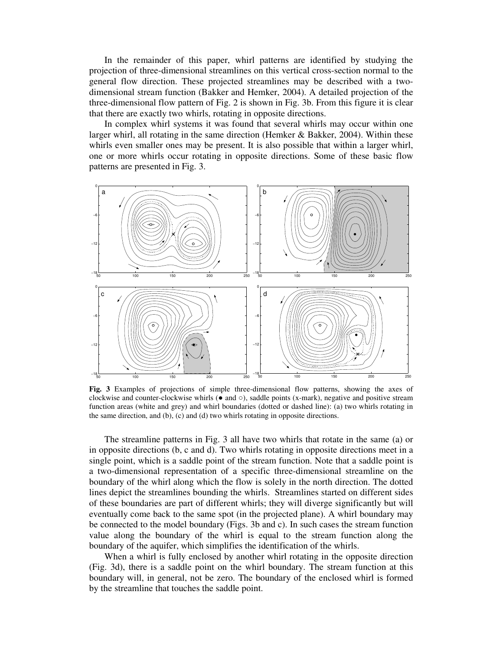In the remainder of this paper, whirl patterns are identified by studying the projection of three-dimensional streamlines on this vertical cross-section normal to the general flow direction. These projected streamlines may be described with a twodimensional stream function (Bakker and Hemker, 2004). A detailed projection of the three-dimensional flow pattern of Fig. 2 is shown in Fig. 3b. From this figure it is clear that there are exactly two whirls, rotating in opposite directions.

In complex whirl systems it was found that several whirls may occur within one larger whirl, all rotating in the same direction (Hemker & Bakker, 2004). Within these whirls even smaller ones may be present. It is also possible that within a larger whirl, one or more whirls occur rotating in opposite directions. Some of these basic flow patterns are presented in Fig. 3.



**Fig. 3** Examples of projections of simple three-dimensional flow patterns, showing the axes of clockwise and counter-clockwise whirls  $(\bullet$  and  $\circ)$ , saddle points (x-mark), negative and positive stream function areas (white and grey) and whirl boundaries (dotted or dashed line): (a) two whirls rotating in the same direction, and (b), (c) and (d) two whirls rotating in opposite directions.

The streamline patterns in Fig. 3 all have two whirls that rotate in the same (a) or in opposite directions (b, c and d). Two whirls rotating in opposite directions meet in a single point, which is a saddle point of the stream function. Note that a saddle point is a two-dimensional representation of a specific three-dimensional streamline on the boundary of the whirl along which the flow is solely in the north direction. The dotted lines depict the streamlines bounding the whirls. Streamlines started on different sides of these boundaries are part of different whirls; they will diverge significantly but will eventually come back to the same spot (in the projected plane). A whirl boundary may be connected to the model boundary (Figs. 3b and c). In such cases the stream function value along the boundary of the whirl is equal to the stream function along the boundary of the aquifer, which simplifies the identification of the whirls.

When a whirl is fully enclosed by another whirl rotating in the opposite direction (Fig. 3d), there is a saddle point on the whirl boundary. The stream function at this boundary will, in general, not be zero. The boundary of the enclosed whirl is formed by the streamline that touches the saddle point.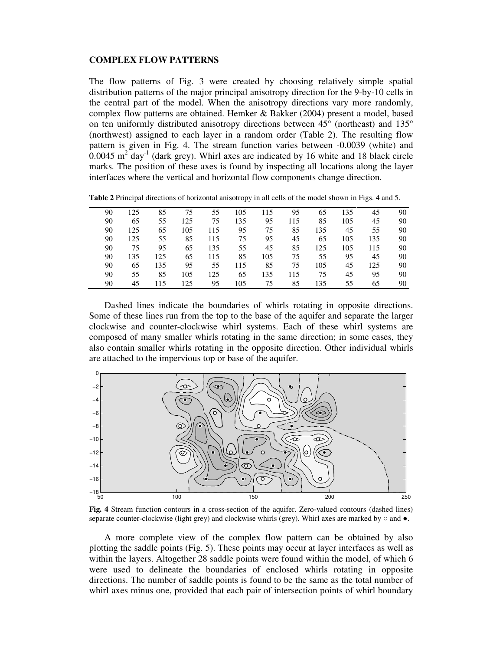### **COMPLEX FLOW PATTERNS**

The flow patterns of Fig. 3 were created by choosing relatively simple spatial distribution patterns of the major principal anisotropy direction for the 9-by-10 cells in the central part of the model. When the anisotropy directions vary more randomly, complex flow patterns are obtained. Hemker & Bakker (2004) present a model, based on ten uniformly distributed anisotropy directions between 45° (northeast) and 135° (northwest) assigned to each layer in a random order (Table 2). The resulting flow pattern is given in Fig. 4. The stream function varies between -0.0039 (white) and  $0.0045$  m<sup>2</sup> day<sup>-1</sup> (dark grey). Whirl axes are indicated by 16 white and 18 black circle marks. The position of these axes is found by inspecting all locations along the layer interfaces where the vertical and horizontal flow components change direction.

| 90 | 125 | 85  | 75  | 55  | 105 | 115 | 95  | 65  | 135 | 45  | 90 |
|----|-----|-----|-----|-----|-----|-----|-----|-----|-----|-----|----|
| 90 | 65  | 55  | 125 | 75  | 135 | 95  | 115 | 85  | 105 | 45  | 90 |
| 90 | 125 | 65  | 105 | 115 | 95  | 75  | 85  | 135 | 45  | 55  | 90 |
| 90 | 125 | 55  | 85  | 115 | 75  | 95  | 45  | 65  | 105 | 135 | 90 |
| 90 | 75  | 95  | 65  | 135 | 55  | 45  | 85  | 125 | 105 | 115 | 90 |
| 90 | 135 | 125 | 65  | 115 | 85  | 105 | 75  | 55  | 95  | 45  | 90 |
| 90 | 65  | 135 | 95  | 55  | 115 | 85  | 75  | 105 | 45  | 125 | 90 |
| 90 | 55  | 85  | 105 | 125 | 65  | 135 | 115 | 75  | 45  | 95  | 90 |
| 90 | 45  | 115 | 125 | 95  | 105 | 75  | 85  | 135 | 55  | 65  | 90 |
|    |     |     |     |     |     |     |     |     |     |     |    |

**Table 2** Principal directions of horizontal anisotropy in all cells of the model shown in Figs. 4 and 5.

Dashed lines indicate the boundaries of whirls rotating in opposite directions. Some of these lines run from the top to the base of the aquifer and separate the larger clockwise and counter-clockwise whirl systems. Each of these whirl systems are composed of many smaller whirls rotating in the same direction; in some cases, they also contain smaller whirls rotating in the opposite direction. Other individual whirls are attached to the impervious top or base of the aquifer.



**Fig. 4** Stream function contours in a cross-section of the aquifer. Zero-valued contours (dashed lines) separate counter-clockwise (light grey) and clockwise whirls (grey). Whirl axes are marked by  $\circ$  and  $\bullet$ .

A more complete view of the complex flow pattern can be obtained by also plotting the saddle points (Fig. 5). These points may occur at layer interfaces as well as within the layers. Altogether 28 saddle points were found within the model, of which 6 were used to delineate the boundaries of enclosed whirls rotating in opposite directions. The number of saddle points is found to be the same as the total number of whirl axes minus one, provided that each pair of intersection points of whirl boundary